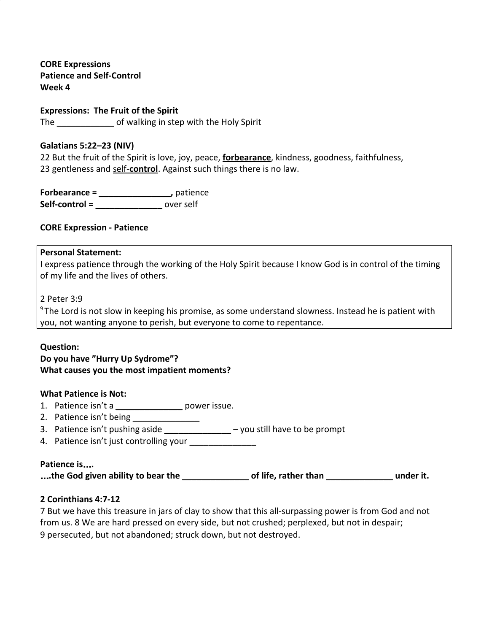**CORE Expressions Patience and Self-Control Week 4**

**Expressions: The Fruit of the Spirit** The **\_\_\_\_\_\_\_\_\_\_\_\_** of walking in step with the Holy Spirit

#### **Galatians 5:22–23 (NIV)**

22 But the fruit of the Spirit is love, joy, peace, **forbearance**, kindness, goodness, faithfulness, 23 gentleness and self-**control**. Against such things there is no law.

**Forbearance = \_\_\_\_\_\_\_\_\_\_\_\_\_\_\_,** patience **Self-control = \_\_\_\_\_\_\_\_\_\_\_\_\_\_** over self

#### **CORE Expression - Patience**

#### **Personal Statement:**

I express patience through the working of the Holy Spirit because I know God is in control of the timing of my life and the lives of others.

2 Peter 3:9

<sup>9</sup> The Lord is not slow in keeping his promise, as some understand slowness. Instead he is patient with you, not wanting anyone to perish, but everyone to come to repentance.

#### **Question:**

## **Do you have "Hurry Up Sydrome"? What causes you the most impatient moments?**

#### **What Patience is Not:**

- 1. Patience isn't a **\_\_\_\_\_\_\_\_\_\_\_\_\_\_** power issue.
- 2. Patience isn't being **\_\_\_\_\_\_\_\_\_\_\_\_\_\_**
- 3. Patience isn't pushing aside **\_\_\_\_\_\_\_\_\_\_\_\_\_\_** you still have to be prompt
- 4. Patience isn't just controlling your **\_\_\_\_\_\_\_\_\_\_\_\_\_\_**

#### **Patience is**…**.**

...the God given ability to bear the **with all contract of life**, rather than with  $\sim$  under it.

#### **2 Corinthians 4:7-12**

7 But we have this treasure in jars of clay to show that this all-surpassing power is from God and not from us. 8 We are hard pressed on every side, but not crushed; perplexed, but not in despair; 9 persecuted, but not abandoned; struck down, but not destroyed.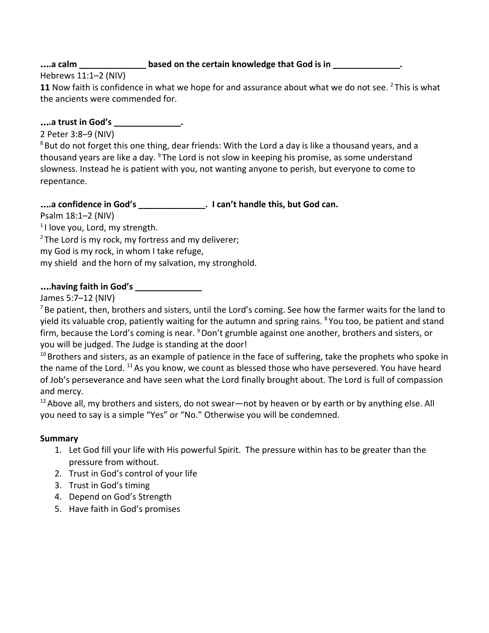# ....a calm \_\_\_\_\_\_\_\_\_\_\_\_\_\_\_\_\_\_based on the certain knowledge that God is in \_\_\_\_\_\_\_\_\_\_

Hebrews 11:1–2 (NIV)

**11** Now faith is confidence in what we hope for and assurance about what we do not see. <sup>2</sup> This is what the ancients were commended for.

…**.a trust in God's \_\_\_\_\_\_\_\_\_\_\_\_\_\_.**

2 Peter 3:8–9 (NIV)

 $8$  But do not forget this one thing, dear friends: With the Lord a day is like a thousand years, and a thousand years are like a day. <sup>9</sup> The Lord is not slow in keeping his promise, as some understand slowness. Instead he is patient with you, not wanting anyone to perish, but everyone to come to repentance.

# …**.a confidence in God's \_\_\_\_\_\_\_\_\_\_\_\_\_\_. I can't handle this, but God can.**

Psalm 18:1–2 (NIV)

<sup>1</sup>I love you, Lord, my strength.

 $2$  The Lord is my rock, my fortress and my deliverer;

my God is my rock, in whom I take refuge,

my shield and the horn of my salvation, my stronghold.

# …**.having faith in God's \_\_\_\_\_\_\_\_\_\_\_\_\_\_**

James 5:7–12 (NIV)

 $<sup>7</sup>$  Be patient, then, brothers and sisters, until the Lord's coming. See how the farmer waits for the land to</sup> yield its valuable crop, patiently waiting for the autumn and spring rains. <sup>8</sup> You too, be patient and stand firm, because the Lord's coming is near. <sup>9</sup> Don't grumble against one another, brothers and sisters, or you will be judged. The Judge is standing at the door!

 $10$  Brothers and sisters, as an example of patience in the face of suffering, take the prophets who spoke in the name of the Lord. <sup>11</sup> As you know, we count as blessed those who have persevered. You have heard of Job's perseverance and have seen what the Lord finally brought about. The Lord is full of compassion and mercy.

 $12$  Above all, my brothers and sisters, do not swear—not by heaven or by earth or by anything else. All you need to say is a simple "Yes" or "No." Otherwise you will be condemned.

## **Summary**

- 1. Let God fill your life with His powerful Spirit. The pressure within has to be greater than the pressure from without.
- 2. Trust in God's control of your life
- 3. Trust in God's timing
- 4. Depend on God's Strength
- 5. Have faith in God's promises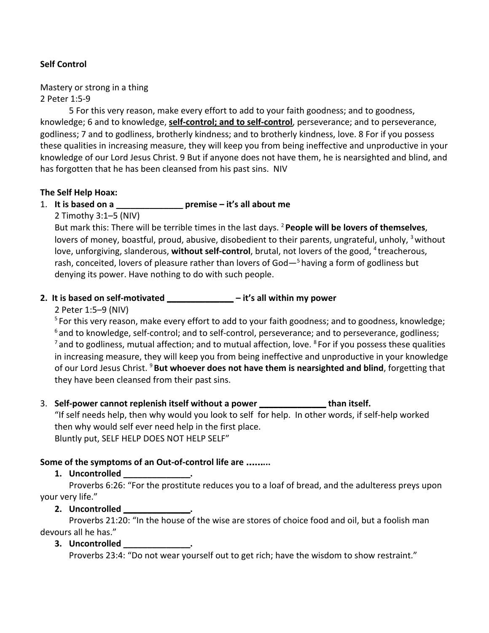## **Self Control**

Mastery or strong in a thing 2 Peter 1:5-9

5 For this very reason, make every effort to add to your faith goodness; and to goodness, knowledge; 6 and to knowledge, **self-control; and to self-control**, perseverance; and to perseverance, godliness; 7 and to godliness, brotherly kindness; and to brotherly kindness, love. 8 For if you possess these qualities in increasing measure, they will keep you from being ineffective and unproductive in your knowledge of our Lord Jesus Christ. 9 But if anyone does not have them, he is nearsighted and blind, and has forgotten that he has been cleansed from his past sins. NIV

#### **The Self Help Hoax:**

## 1. **It is based on a \_\_\_\_\_\_\_\_\_\_\_\_\_\_ premise – it's all about me**

2 Timothy 3:1–5 (NIV)

But mark this: There will be terrible times in the last days. <sup>2</sup> **People will be lovers of themselves**, lovers of money, boastful, proud, abusive, disobedient to their parents, ungrateful, unholy, <sup>3</sup> without love, unforgiving, slanderous, without self-control, brutal, not lovers of the good, <sup>4</sup> treacherous, rash, conceited, lovers of pleasure rather than lovers of God $-5$  having a form of godliness but denying its power. Have nothing to do with such people.

## **2. It is based on self-motivated \_\_\_\_\_\_\_\_\_\_\_\_\_\_ – it's all within my power**

2 Peter 1:5–9 (NIV)

<sup>5</sup> For this very reason, make every effort to add to your faith goodness; and to goodness, knowledge;  $6$  and to knowledge, self-control; and to self-control, perseverance; and to perseverance, godliness;  $<sup>7</sup>$  and to godliness, mutual affection; and to mutual affection, love.  $<sup>8</sup>$  For if you possess these qualities</sup></sup> in increasing measure, they will keep you from being ineffective and unproductive in your knowledge of our Lord Jesus Christ. <sup>9</sup>**But whoever does not have them is nearsighted and blind**, forgetting that they have been cleansed from their past sins.

3. **Self-power cannot replenish itself without a power \_\_\_\_\_\_\_\_\_\_\_\_\_\_ than itself.** "If self needs help, then why would you look to self for help. In other words, if self-help worked then why would self ever need help in the first place. Bluntly put, SELF HELP DOES NOT HELP SELF"

## **Some of the symptoms of an Out-of-control life are** ……**...**

## **1. Uncontrolled \_\_\_\_\_\_\_\_\_\_\_\_\_\_.**

Proverbs 6:26: "For the prostitute reduces you to a loaf of bread, and the adulteress preys upon your very life."

## **2. Uncontrolled \_\_\_\_\_\_\_\_\_\_\_\_\_\_.**

Proverbs 21:20: "In the house of the wise are stores of choice food and oil, but a foolish man devours all he has."

**3. Uncontrolled \_\_\_\_\_\_\_\_\_\_\_\_\_\_.**

Proverbs 23:4: "Do not wear yourself out to get rich; have the wisdom to show restraint."